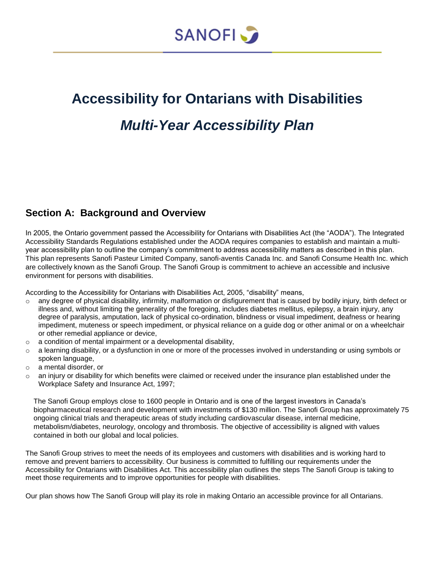

# **Accessibility for Ontarians with Disabilities** *Multi-Year Accessibility Plan*

### **Section A: Background and Overview**

In 2005, the Ontario government passed the Accessibility for Ontarians with Disabilities Act (the "AODA"). The Integrated Accessibility Standards Regulations established under the AODA requires companies to establish and maintain a multiyear accessibility plan to outline the company's commitment to address accessibility matters as described in this plan. This plan represents Sanofi Pasteur Limited Company, sanofi-aventis Canada Inc. and Sanofi Consume Health Inc. which are collectively known as the Sanofi Group. The Sanofi Group is commitment to achieve an accessible and inclusive environment for persons with disabilities.

According to the Accessibility for Ontarians with Disabilities Act, 2005, "disability" means,

- $\circ$  any degree of physical disability, infirmity, malformation or disfigurement that is caused by bodily injury, birth defect or illness and, without limiting the generality of the foregoing, includes diabetes mellitus, epilepsy, a brain injury, any degree of paralysis, amputation, lack of physical co-ordination, blindness or visual impediment, deafness or hearing impediment, muteness or speech impediment, or physical reliance on a guide dog or other animal or on a wheelchair or other remedial appliance or device,
- $\circ$  a condition of mental impairment or a developmental disability,
- $\circ$  a learning disability, or a dysfunction in one or more of the processes involved in understanding or using symbols or spoken language,
- o a mental disorder, or
- $\circ$  an injury or disability for which benefits were claimed or received under the insurance plan established under the Workplace Safety and Insurance Act, 1997;

The Sanofi Group employs close to 1600 people in Ontario and is one of the largest investors in Canada's biopharmaceutical research and development with investments of \$130 million. The Sanofi Group has approximately 75 ongoing clinical trials and therapeutic areas of study including cardiovascular disease, internal medicine, metabolism/diabetes, neurology, oncology and thrombosis. The objective of accessibility is aligned with values contained in both our global and local policies.

The Sanofi Group strives to meet the needs of its employees and customers with disabilities and is working hard to remove and prevent barriers to accessibility. Our business is committed to fulfilling our requirements under the Accessibility for Ontarians with Disabilities Act. This accessibility plan outlines the steps The Sanofi Group is taking to meet those requirements and to improve opportunities for people with disabilities.

Our plan shows how The Sanofi Group will play its role in making Ontario an accessible province for all Ontarians.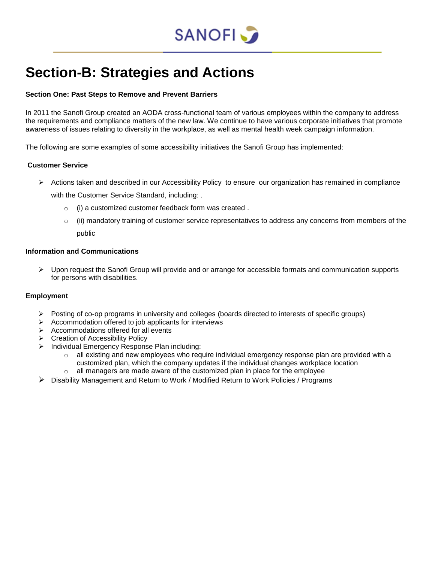

## **Section-B: Strategies and Actions**

#### **Section One: Past Steps to Remove and Prevent Barriers**

In 2011 the Sanofi Group created an AODA cross-functional team of various employees within the company to address the requirements and compliance matters of the new law. We continue to have various corporate initiatives that promote awareness of issues relating to diversity in the workplace, as well as mental health week campaign information.

The following are some examples of some accessibility initiatives the Sanofi Group has implemented:

#### **Customer Service**

 $\triangleright$  Actions taken and described in our Accessibility Policy to ensure our organization has remained in compliance

with the Customer Service Standard, including: .

- o (i) a customized customer feedback form was created .
- $\circ$  (ii) mandatory training of customer service representatives to address any concerns from members of the public

#### **Information and Communications**

 $\triangleright$  Upon request the Sanofi Group will provide and or arrange for accessible formats and communication supports for persons with disabilities.

#### **Employment**

- $\triangleright$  Posting of co-op programs in university and colleges (boards directed to interests of specific groups)
- $\triangleright$  Accommodation offered to job applicants for interviews
- $\triangleright$  Accommodations offered for all events
- **►** Creation of Accessibility Policy
- $\triangleright$  Individual Emergency Response Plan including:
	- o all existing and new employees who require individual emergency response plan are provided with a customized plan, which the company updates if the individual changes workplace location
	- o all managers are made aware of the customized plan in place for the employee
- Disability Management and Return to Work / Modified Return to Work Policies / Programs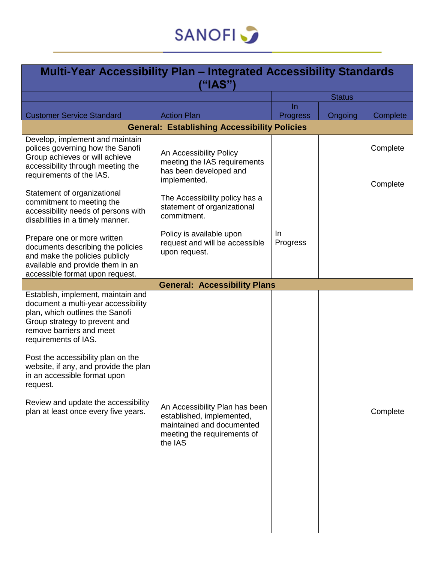

| <b>Multi-Year Accessibility Plan - Integrated Accessibility Standards</b><br>("IAS")                                                                                                                                                                                                                                                                                                                        |                                                                                                                                    |                       |         |                      |  |
|-------------------------------------------------------------------------------------------------------------------------------------------------------------------------------------------------------------------------------------------------------------------------------------------------------------------------------------------------------------------------------------------------------------|------------------------------------------------------------------------------------------------------------------------------------|-----------------------|---------|----------------------|--|
|                                                                                                                                                                                                                                                                                                                                                                                                             |                                                                                                                                    | <b>Status</b>         |         |                      |  |
|                                                                                                                                                                                                                                                                                                                                                                                                             |                                                                                                                                    | In.                   |         |                      |  |
| <b>Customer Service Standard</b>                                                                                                                                                                                                                                                                                                                                                                            | <b>Action Plan</b>                                                                                                                 | <b>Progress</b>       | Ongoing | Complete             |  |
|                                                                                                                                                                                                                                                                                                                                                                                                             | <b>General: Establishing Accessibility Policies</b>                                                                                |                       |         |                      |  |
| Develop, implement and maintain<br>polices governing how the Sanofi<br>Group achieves or will achieve<br>accessibility through meeting the<br>requirements of the IAS.                                                                                                                                                                                                                                      | An Accessibility Policy<br>meeting the IAS requirements<br>has been developed and<br>implemented.                                  |                       |         | Complete<br>Complete |  |
| Statement of organizational<br>commitment to meeting the<br>accessibility needs of persons with<br>disabilities in a timely manner.                                                                                                                                                                                                                                                                         | The Accessibility policy has a<br>statement of organizational<br>commitment.                                                       |                       |         |                      |  |
| Prepare one or more written<br>documents describing the policies<br>and make the policies publicly<br>available and provide them in an                                                                                                                                                                                                                                                                      | Policy is available upon<br>request and will be accessible<br>upon request.                                                        | <u>In</u><br>Progress |         |                      |  |
| accessible format upon request.                                                                                                                                                                                                                                                                                                                                                                             | <b>General: Accessibility Plans</b>                                                                                                |                       |         |                      |  |
| Establish, implement, maintain and<br>document a multi-year accessibility<br>plan, which outlines the Sanofi<br>Group strategy to prevent and<br>remove barriers and meet<br>requirements of IAS.<br>Post the accessibility plan on the<br>website, if any, and provide the plan<br>in an accessible format upon<br>request.<br>Review and update the accessibility<br>plan at least once every five years. | An Accessibility Plan has been<br>established, implemented,<br>maintained and documented<br>meeting the requirements of<br>the IAS |                       |         | Complete             |  |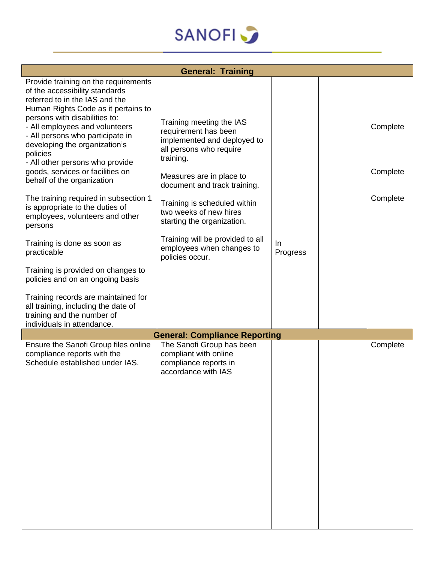

| <b>General: Training</b>                                                                                                                                                                                                                                                                                                                                                                                                                                                                                                                                                                                                                                                                                                                                                                             |                                                                                                                                                                                                                                                                                                                                                                 |                |  |                                  |  |
|------------------------------------------------------------------------------------------------------------------------------------------------------------------------------------------------------------------------------------------------------------------------------------------------------------------------------------------------------------------------------------------------------------------------------------------------------------------------------------------------------------------------------------------------------------------------------------------------------------------------------------------------------------------------------------------------------------------------------------------------------------------------------------------------------|-----------------------------------------------------------------------------------------------------------------------------------------------------------------------------------------------------------------------------------------------------------------------------------------------------------------------------------------------------------------|----------------|--|----------------------------------|--|
| Provide training on the requirements<br>of the accessibility standards<br>referred to in the IAS and the<br>Human Rights Code as it pertains to<br>persons with disabilities to:<br>- All employees and volunteers<br>- All persons who participate in<br>developing the organization's<br>policies<br>- All other persons who provide<br>goods, services or facilities on<br>behalf of the organization<br>The training required in subsection 1<br>is appropriate to the duties of<br>employees, volunteers and other<br>persons<br>Training is done as soon as<br>practicable<br>Training is provided on changes to<br>policies and on an ongoing basis<br>Training records are maintained for<br>all training, including the date of<br>training and the number of<br>individuals in attendance. | Training meeting the IAS<br>requirement has been<br>implemented and deployed to<br>all persons who require<br>training.<br>Measures are in place to<br>document and track training.<br>Training is scheduled within<br>two weeks of new hires<br>starting the organization.<br>Training will be provided to all<br>employees when changes to<br>policies occur. | In<br>Progress |  | Complete<br>Complete<br>Complete |  |
|                                                                                                                                                                                                                                                                                                                                                                                                                                                                                                                                                                                                                                                                                                                                                                                                      | <b>General: Compliance Reporting</b>                                                                                                                                                                                                                                                                                                                            |                |  |                                  |  |
| Ensure the Sanofi Group files online<br>compliance reports with the<br>Schedule established under IAS.                                                                                                                                                                                                                                                                                                                                                                                                                                                                                                                                                                                                                                                                                               | The Sanofi Group has been<br>compliant with online<br>compliance reports in<br>accordance with IAS                                                                                                                                                                                                                                                              |                |  | Complete                         |  |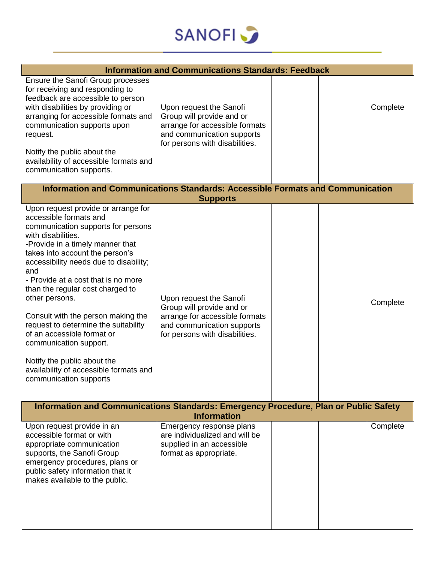

| <b>Information and Communications Standards: Feedback</b>                                                                                                                                                                                                                                                                                                                                                                                                                                                                                                                               |                                                                                                                                                        |  |  |          |  |
|-----------------------------------------------------------------------------------------------------------------------------------------------------------------------------------------------------------------------------------------------------------------------------------------------------------------------------------------------------------------------------------------------------------------------------------------------------------------------------------------------------------------------------------------------------------------------------------------|--------------------------------------------------------------------------------------------------------------------------------------------------------|--|--|----------|--|
| Ensure the Sanofi Group processes<br>for receiving and responding to<br>feedback are accessible to person<br>with disabilities by providing or<br>arranging for accessible formats and<br>communication supports upon<br>request.<br>Notify the public about the<br>availability of accessible formats and<br>communication supports.                                                                                                                                                                                                                                                   | Upon request the Sanofi<br>Group will provide and or<br>arrange for accessible formats<br>and communication supports<br>for persons with disabilities. |  |  | Complete |  |
| Information and Communications Standards: Accessible Formats and Communication                                                                                                                                                                                                                                                                                                                                                                                                                                                                                                          | <b>Supports</b>                                                                                                                                        |  |  |          |  |
| Upon request provide or arrange for<br>accessible formats and<br>communication supports for persons<br>with disabilities.<br>-Provide in a timely manner that<br>takes into account the person's<br>accessibility needs due to disability;<br>and<br>- Provide at a cost that is no more<br>than the regular cost charged to<br>other persons.<br>Consult with the person making the<br>request to determine the suitability<br>of an accessible format or<br>communication support.<br>Notify the public about the<br>availability of accessible formats and<br>communication supports | Upon request the Sanofi<br>Group will provide and or<br>arrange for accessible formats<br>and communication supports<br>for persons with disabilities. |  |  | Complete |  |
| Information and Communications Standards: Emergency Procedure, Plan or Public Safety<br><b>Information</b>                                                                                                                                                                                                                                                                                                                                                                                                                                                                              |                                                                                                                                                        |  |  |          |  |
| Upon request provide in an<br>accessible format or with<br>appropriate communication<br>supports, the Sanofi Group<br>emergency procedures, plans or<br>public safety information that it<br>makes available to the public.                                                                                                                                                                                                                                                                                                                                                             | Emergency response plans<br>are individualized and will be<br>supplied in an accessible<br>format as appropriate.                                      |  |  | Complete |  |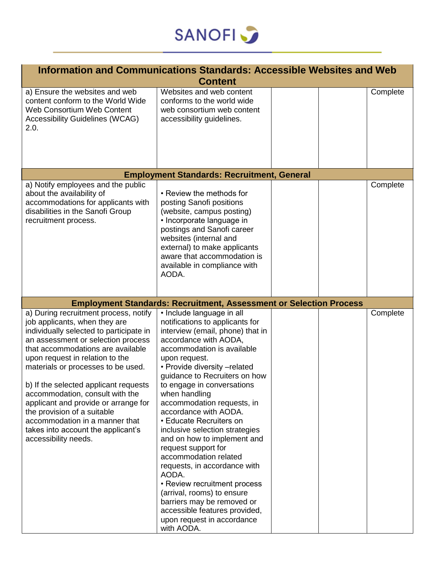

| Information and Communications Standards: Accessible Websites and Web                                                                                                                                                                                                                                                                                                                                                                                                                                                    |                                                                                                                                                                                                                                                                                                                                                                                                                                                                                                                                                                                                                                                                                                               |  |  |          |  |
|--------------------------------------------------------------------------------------------------------------------------------------------------------------------------------------------------------------------------------------------------------------------------------------------------------------------------------------------------------------------------------------------------------------------------------------------------------------------------------------------------------------------------|---------------------------------------------------------------------------------------------------------------------------------------------------------------------------------------------------------------------------------------------------------------------------------------------------------------------------------------------------------------------------------------------------------------------------------------------------------------------------------------------------------------------------------------------------------------------------------------------------------------------------------------------------------------------------------------------------------------|--|--|----------|--|
| <b>Content</b>                                                                                                                                                                                                                                                                                                                                                                                                                                                                                                           |                                                                                                                                                                                                                                                                                                                                                                                                                                                                                                                                                                                                                                                                                                               |  |  |          |  |
| a) Ensure the websites and web<br>content conform to the World Wide<br>Web Consortium Web Content<br><b>Accessibility Guidelines (WCAG)</b><br>2.0.                                                                                                                                                                                                                                                                                                                                                                      | Websites and web content<br>conforms to the world wide<br>web consortium web content<br>accessibility guidelines.                                                                                                                                                                                                                                                                                                                                                                                                                                                                                                                                                                                             |  |  | Complete |  |
|                                                                                                                                                                                                                                                                                                                                                                                                                                                                                                                          | <b>Employment Standards: Recruitment, General</b>                                                                                                                                                                                                                                                                                                                                                                                                                                                                                                                                                                                                                                                             |  |  |          |  |
| a) Notify employees and the public                                                                                                                                                                                                                                                                                                                                                                                                                                                                                       |                                                                                                                                                                                                                                                                                                                                                                                                                                                                                                                                                                                                                                                                                                               |  |  | Complete |  |
| about the availability of<br>accommodations for applicants with<br>disabilities in the Sanofi Group<br>recruitment process.                                                                                                                                                                                                                                                                                                                                                                                              | • Review the methods for<br>posting Sanofi positions<br>(website, campus posting)<br>• Incorporate language in<br>postings and Sanofi career<br>websites (internal and<br>external) to make applicants<br>aware that accommodation is<br>available in compliance with<br>AODA.                                                                                                                                                                                                                                                                                                                                                                                                                                |  |  |          |  |
|                                                                                                                                                                                                                                                                                                                                                                                                                                                                                                                          | <b>Employment Standards: Recruitment, Assessment or Selection Process</b>                                                                                                                                                                                                                                                                                                                                                                                                                                                                                                                                                                                                                                     |  |  |          |  |
| a) During recruitment process, notify<br>job applicants, when they are<br>individually selected to participate in<br>an assessment or selection process<br>that accommodations are available<br>upon request in relation to the<br>materials or processes to be used.<br>b) If the selected applicant requests<br>accommodation, consult with the<br>applicant and provide or arrange for<br>the provision of a suitable<br>accommodation in a manner that<br>takes into account the applicant's<br>accessibility needs. | • Include language in all<br>notifications to applicants for<br>interview (email, phone) that in<br>accordance with AODA,<br>accommodation is available<br>upon request.<br>• Provide diversity -related<br>guidance to Recruiters on how<br>to engage in conversations<br>when handling<br>accommodation requests, in<br>accordance with AODA.<br>• Educate Recruiters on<br>inclusive selection strategies<br>and on how to implement and<br>request support for<br>accommodation related<br>requests, in accordance with<br>AODA.<br>• Review recruitment process<br>(arrival, rooms) to ensure<br>barriers may be removed or<br>accessible features provided,<br>upon request in accordance<br>with AODA. |  |  | Complete |  |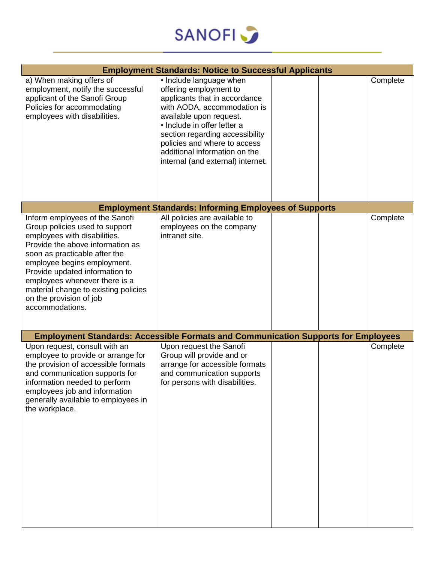

|                                                                                                                                                                                                                                                                                                                                                               | <b>Employment Standards: Notice to Successful Applicants</b>                                                                                                                                                                                                                                                         |  |          |
|---------------------------------------------------------------------------------------------------------------------------------------------------------------------------------------------------------------------------------------------------------------------------------------------------------------------------------------------------------------|----------------------------------------------------------------------------------------------------------------------------------------------------------------------------------------------------------------------------------------------------------------------------------------------------------------------|--|----------|
| a) When making offers of<br>employment, notify the successful<br>applicant of the Sanofi Group<br>Policies for accommodating<br>employees with disabilities.                                                                                                                                                                                                  | • Include language when<br>offering employment to<br>applicants that in accordance<br>with AODA, accommodation is<br>available upon request.<br>· Include in offer letter a<br>section regarding accessibility<br>policies and where to access<br>additional information on the<br>internal (and external) internet. |  | Complete |
|                                                                                                                                                                                                                                                                                                                                                               | <b>Employment Standards: Informing Employees of Supports</b>                                                                                                                                                                                                                                                         |  |          |
| Inform employees of the Sanofi<br>Group policies used to support<br>employees with disabilities.<br>Provide the above information as<br>soon as practicable after the<br>employee begins employment.<br>Provide updated information to<br>employees whenever there is a<br>material change to existing policies<br>on the provision of job<br>accommodations. | All policies are available to<br>employees on the company<br>intranet site.                                                                                                                                                                                                                                          |  | Complete |
| <b>Employment Standards: Accessible Formats and Communication Supports for Employees</b>                                                                                                                                                                                                                                                                      |                                                                                                                                                                                                                                                                                                                      |  |          |
| Upon request, consult with an<br>employee to provide or arrange for<br>the provision of accessible formats<br>and communication supports for<br>information needed to perform<br>employees job and information<br>generally available to employees in<br>the workplace.                                                                                       | Upon request the Sanofi<br>Group will provide and or<br>arrange for accessible formats<br>and communication supports<br>for persons with disabilities.                                                                                                                                                               |  | Complete |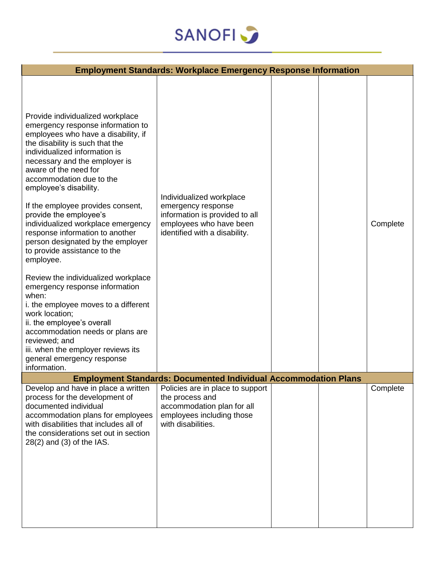

|                                                                                                                                                                                                                                                                                                                                                                                                                                                                                                                                                                                                                                                                                                                                                                                                                                               | <b>Employment Standards: Workplace Emergency Response Information</b>                                                                        |  |          |
|-----------------------------------------------------------------------------------------------------------------------------------------------------------------------------------------------------------------------------------------------------------------------------------------------------------------------------------------------------------------------------------------------------------------------------------------------------------------------------------------------------------------------------------------------------------------------------------------------------------------------------------------------------------------------------------------------------------------------------------------------------------------------------------------------------------------------------------------------|----------------------------------------------------------------------------------------------------------------------------------------------|--|----------|
| Provide individualized workplace<br>emergency response information to<br>employees who have a disability, if<br>the disability is such that the<br>individualized information is<br>necessary and the employer is<br>aware of the need for<br>accommodation due to the<br>employee's disability.<br>If the employee provides consent,<br>provide the employee's<br>individualized workplace emergency<br>response information to another<br>person designated by the employer<br>to provide assistance to the<br>employee.<br>Review the individualized workplace<br>emergency response information<br>when:<br>i. the employee moves to a different<br>work location;<br>ii. the employee's overall<br>accommodation needs or plans are<br>reviewed; and<br>iii. when the employer reviews its<br>general emergency response<br>information. | Individualized workplace<br>emergency response<br>information is provided to all<br>employees who have been<br>identified with a disability. |  | Complete |
|                                                                                                                                                                                                                                                                                                                                                                                                                                                                                                                                                                                                                                                                                                                                                                                                                                               | <b>Employment Standards: Documented Individual Accommodation Plans</b>                                                                       |  |          |
| Develop and have in place a written<br>process for the development of<br>documented individual<br>accommodation plans for employees<br>with disabilities that includes all of<br>the considerations set out in section<br>$28(2)$ and $(3)$ of the IAS.                                                                                                                                                                                                                                                                                                                                                                                                                                                                                                                                                                                       | Policies are in place to support<br>the process and<br>accommodation plan for all<br>employees including those<br>with disabilities.         |  | Complete |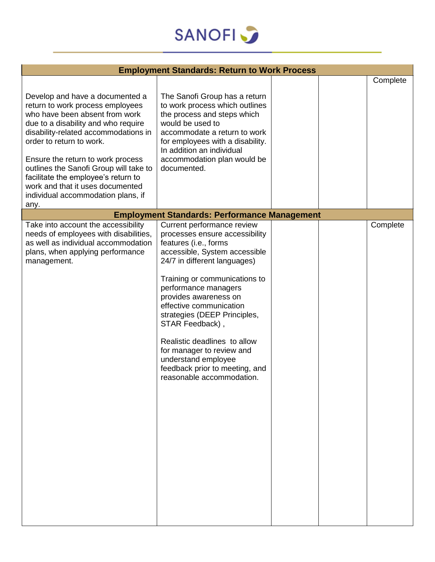

| <b>Employment Standards: Return to Work Process</b>                                                                                                                                                                                                                                                                                                                                                                      |                                                                                                                                                                                                                                                                                                                                                                                                                                                                           |  |  |          |
|--------------------------------------------------------------------------------------------------------------------------------------------------------------------------------------------------------------------------------------------------------------------------------------------------------------------------------------------------------------------------------------------------------------------------|---------------------------------------------------------------------------------------------------------------------------------------------------------------------------------------------------------------------------------------------------------------------------------------------------------------------------------------------------------------------------------------------------------------------------------------------------------------------------|--|--|----------|
| Develop and have a documented a<br>return to work process employees<br>who have been absent from work<br>due to a disability and who require<br>disability-related accommodations in<br>order to return to work.<br>Ensure the return to work process<br>outlines the Sanofi Group will take to<br>facilitate the employee's return to<br>work and that it uses documented<br>individual accommodation plans, if<br>any. | The Sanofi Group has a return<br>to work process which outlines<br>the process and steps which<br>would be used to<br>accommodate a return to work<br>for employees with a disability.<br>In addition an individual<br>accommodation plan would be<br>documented.                                                                                                                                                                                                         |  |  | Complete |
|                                                                                                                                                                                                                                                                                                                                                                                                                          | <b>Employment Standards: Performance Management</b>                                                                                                                                                                                                                                                                                                                                                                                                                       |  |  |          |
| Take into account the accessibility<br>needs of employees with disabilities,<br>as well as individual accommodation<br>plans, when applying performance<br>management.                                                                                                                                                                                                                                                   | Current performance review<br>processes ensure accessibility<br>features (i.e., forms<br>accessible, System accessible<br>24/7 in different languages)<br>Training or communications to<br>performance managers<br>provides awareness on<br>effective communication<br>strategies (DEEP Principles,<br>STAR Feedback),<br>Realistic deadlines to allow<br>for manager to review and<br>understand employee<br>feedback prior to meeting, and<br>reasonable accommodation. |  |  | Complete |